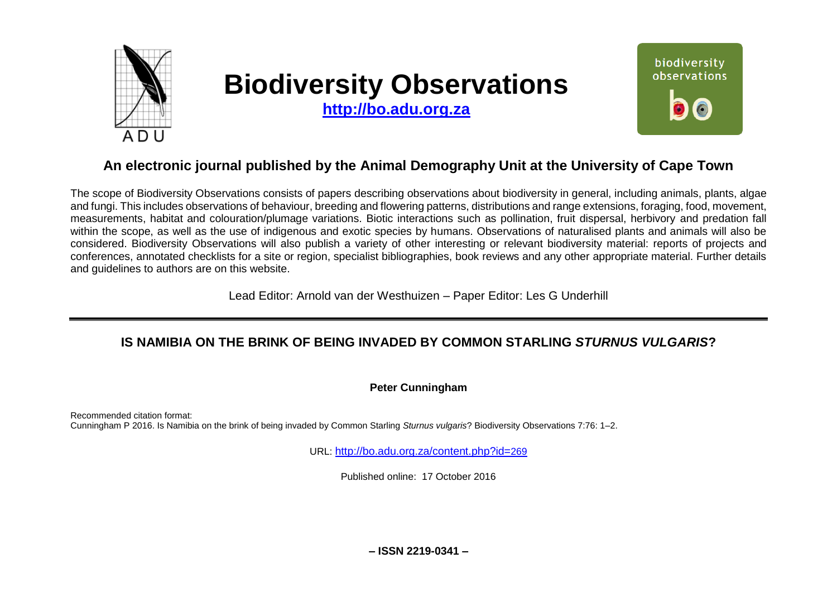

# **Biodiversity Observations**

**[http://bo.adu.org.za](http://bo.adu.org.za/)**



## **An electronic journal published by the Animal Demography Unit at the University of Cape Town**

The scope of Biodiversity Observations consists of papers describing observations about biodiversity in general, including animals, plants, algae and fungi. This includes observations of behaviour, breeding and flowering patterns, distributions and range extensions, foraging, food, movement, measurements, habitat and colouration/plumage variations. Biotic interactions such as pollination, fruit dispersal, herbivory and predation fall within the scope, as well as the use of indigenous and exotic species by humans. Observations of naturalised plants and animals will also be considered. Biodiversity Observations will also publish a variety of other interesting or relevant biodiversity material: reports of projects and conferences, annotated checklists for a site or region, specialist bibliographies, book reviews and any other appropriate material. Further details and guidelines to authors are on this website.

Lead Editor: Arnold van der Westhuizen – Paper Editor: Les G Underhill

## **IS NAMIBIA ON THE BRINK OF BEING INVADED BY COMMON STARLING** *STURNUS VULGARIS***?**

**Peter Cunningham**

Recommended citation format: Cunningham P 2016. Is Namibia on the brink of being invaded by Common Starling *Sturnus vulgaris*? Biodiversity Observations 7:76: 1–2.

URL: [http://bo.adu.org.za/content.php?id=](http://bo.adu.org.za/content.php?id=269)269

Published online: 17 October 2016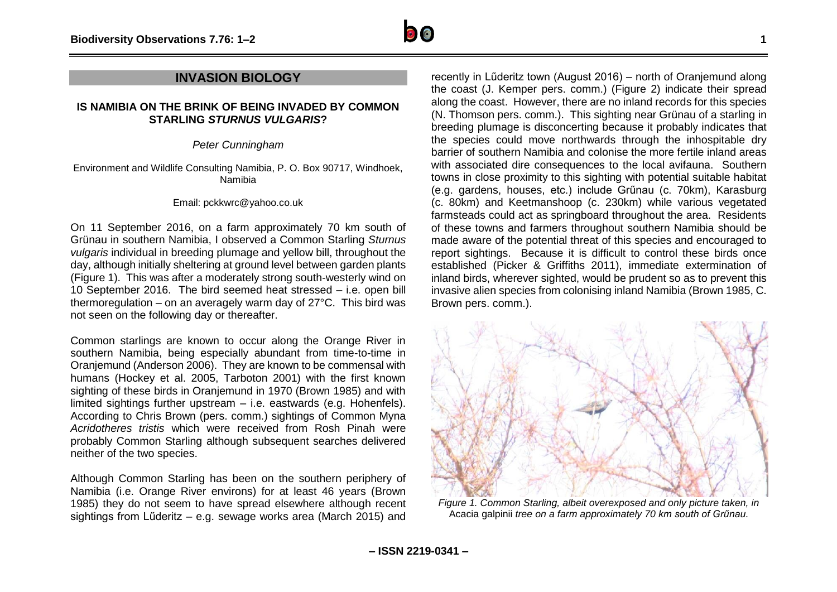

### **INVASION BIOLOGY**

#### **IS NAMIBIA ON THE BRINK OF BEING INVADED BY COMMON STARLING** *STURNUS VULGARIS***?**

*Peter Cunningham*

Environment and Wildlife Consulting Namibia, P. O. Box 90717, Windhoek, Namibia

#### Email: pckkwrc@yahoo.co.uk

On 11 September 2016, on a farm approximately 70 km south of Grünau in southern Namibia, I observed a Common Starling *Sturnus vulgaris* individual in breeding plumage and yellow bill, throughout the day, although initially sheltering at ground level between garden plants (Figure 1). This was after a moderately strong south-westerly wind on 10 September 2016. The bird seemed heat stressed – i.e. open bill thermoregulation – on an averagely warm day of 27°C. This bird was not seen on the following day or thereafter.

Common starlings are known to occur along the Orange River in southern Namibia, being especially abundant from time-to-time in Oranjemund (Anderson 2006). They are known to be commensal with humans (Hockey et al. 2005, Tarboton 2001) with the first known sighting of these birds in Oranjemund in 1970 (Brown 1985) and with limited sightings further upstream – i.e. eastwards (e.g. Hohenfels). According to Chris Brown (pers. comm.) sightings of Common Myna *Acridotheres tristis* which were received from Rosh Pinah were probably Common Starling although subsequent searches delivered neither of the two species.

Although Common Starling has been on the southern periphery of Namibia (i.e. Orange River environs) for at least 46 years (Brown 1985) they do not seem to have spread elsewhere although recent sightings from Lűderitz – e.g. sewage works area (March 2015) and

recently in Lűderitz town (August 2016) – north of Oranjemund along the coast (J. Kemper pers. comm.) (Figure 2) indicate their spread along the coast. However, there are no inland records for this species (N. Thomson pers. comm.). This sighting near Grünau of a starling in breeding plumage is disconcerting because it probably indicates that the species could move northwards through the inhospitable dry barrier of southern Namibia and colonise the more fertile inland areas with associated dire consequences to the local avifauna. Southern towns in close proximity to this sighting with potential suitable habitat (e.g. gardens, houses, etc.) include Grűnau (c. 70km), Karasburg (c. 80km) and Keetmanshoop (c. 230km) while various vegetated farmsteads could act as springboard throughout the area. Residents of these towns and farmers throughout southern Namibia should be made aware of the potential threat of this species and encouraged to report sightings. Because it is difficult to control these birds once established (Picker & Griffiths 2011), immediate extermination of inland birds, wherever sighted, would be prudent so as to prevent this invasive alien species from colonising inland Namibia (Brown 1985, C. Brown pers. comm.).



*Figure 1. Common Starling, albeit overexposed and only picture taken, in*  Acacia galpinii *tree on a farm approximately 70 km south of Grűnau.*